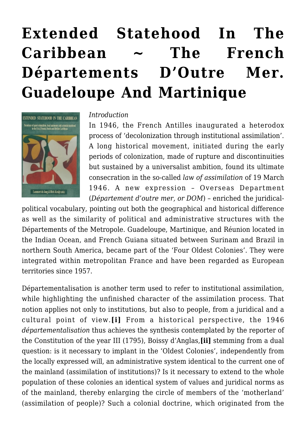# **[Extended Statehood In The](https://rozenbergquarterly.com/extended-statehood-the-french-departements-doutre-mer-guadeloupe-and-martinique/) [Caribbean ~ The French](https://rozenbergquarterly.com/extended-statehood-the-french-departements-doutre-mer-guadeloupe-and-martinique/) [Départements D'Outre Mer.](https://rozenbergquarterly.com/extended-statehood-the-french-departements-doutre-mer-guadeloupe-and-martinique/) [Guadeloupe And Martinique](https://rozenbergquarterly.com/extended-statehood-the-french-departements-doutre-mer-guadeloupe-and-martinique/)**



#### *Introduction*

In 1946, the French Antilles inaugurated a heterodox process of 'decolonization through institutional assimilation'. A long historical movement, initiated during the early periods of colonization, made of rupture and discontinuities but sustained by a universalist ambition, found its ultimate consecration in the so-called *law of assimilation* of 19 March 1946. A new expression – Overseas Department (*Département d'outre mer, or DOM*) – enriched the juridical-

political vocabulary, pointing out both the geographical and historical difference as well as the similarity of political and administrative structures with the Départements of the Metropole. Guadeloupe, Martinique, and Réunion located in the Indian Ocean, and French Guiana situated between Surinam and Brazil in northern South America, became part of the 'Four Oldest Colonies'. They were integrated within metropolitan France and have been regarded as European territories since 1957.

Départementalisation is another term used to refer to institutional assimilation, while highlighting the unfinished character of the assimilation process. That notion applies not only to institutions, but also to people, from a juridical and a cultural point of view.**[i]** From a historical perspective, the 1946 *départementalisation* thus achieves the synthesis contemplated by the reporter of the Constitution of the year III (1795), Boissy d'Anglas,**[ii]** stemming from a dual question: is it necessary to implant in the 'Oldest Colonies', independently from the locally expressed will, an administrative system identical to the current one of the mainland (assimilation of institutions)? Is it necessary to extend to the whole population of these colonies an identical system of values and juridical norms as of the mainland, thereby enlarging the circle of members of the 'motherland' (assimilation of people)? Such a colonial doctrine, which originated from the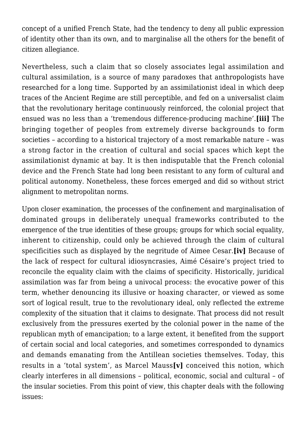concept of a unified French State, had the tendency to deny all public expression of identity other than its own, and to marginalise all the others for the benefit of citizen allegiance.

Nevertheless, such a claim that so closely associates legal assimilation and cultural assimilation, is a source of many paradoxes that anthropologists have researched for a long time. Supported by an assimilationist ideal in which deep traces of the Ancient Regime are still perceptible, and fed on a universalist claim that the revolutionary heritage continuously reinforced, the colonial project that ensued was no less than a 'tremendous difference-producing machine'.**[iii]** The bringing together of peoples from extremely diverse backgrounds to form societies – according to a historical trajectory of a most remarkable nature – was a strong factor in the creation of cultural and social spaces which kept the assimilationist dynamic at bay. It is then indisputable that the French colonial device and the French State had long been resistant to any form of cultural and political autonomy. Nonetheless, these forces emerged and did so without strict alignment to metropolitan norms.

Upon closer examination, the processes of the confinement and marginalisation of dominated groups in deliberately unequal frameworks contributed to the emergence of the true identities of these groups; groups for which social equality, inherent to citizenship, could only be achieved through the claim of cultural specificities such as displayed by the negritude of Aimee Cesar.**[iv]** Because of the lack of respect for cultural idiosyncrasies, Aimé Césaire's project tried to reconcile the equality claim with the claims of specificity. Historically, juridical assimilation was far from being a univocal process: the evocative power of this term, whether denouncing its illusive or hoaxing character, or viewed as some sort of logical result, true to the revolutionary ideal, only reflected the extreme complexity of the situation that it claims to designate. That process did not result exclusively from the pressures exerted by the colonial power in the name of the republican myth of emancipation; to a large extent, it benefited from the support of certain social and local categories, and sometimes corresponded to dynamics and demands emanating from the Antillean societies themselves. Today, this results in a 'total system', as Marcel Mauss**[v]** conceived this notion, which clearly interferes in all dimensions – political, economic, social and cultural – of the insular societies. From this point of view, this chapter deals with the following issues: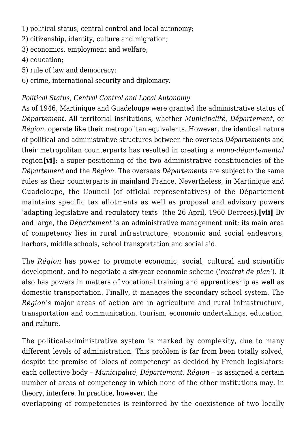- 1) political status, central control and local autonomy;
- 2) citizenship, identity, culture and migration;
- 3) economics, employment and welfare;
- 4) education;
- 5) rule of law and democracy;
- 6) crime, international security and diplomacy.

# *Political Status, Central Control and Local Autonomy*

As of 1946, Martinique and Guadeloupe were granted the administrative status of *Département*. All territorial institutions, whether *Municipalité, Département*, or *Région*, operate like their metropolitan equivalents. However, the identical nature of political and administrative structures between the overseas *Départements* and their metropolitan counterparts has resulted in creating a *mono-départemental* region**[vi]**: a super-positioning of the two administrative constituencies of the *Département* and the *Région*. The overseas *Départements* are subject to the same rules as their counterparts in mainland France. Nevertheless, in Martinique and Guadeloupe, the Council (of official representatives) of the Département maintains specific tax allotments as well as proposal and advisory powers 'adapting legislative and regulatory texts' (the 26 April, 1960 Decrees).**[vii]** By and large, the *Département* is an administrative management unit; its main area of competency lies in rural infrastructure, economic and social endeavors, harbors, middle schools, school transportation and social aid.

The *Région* has power to promote economic, social, cultural and scientific development, and to negotiate a six-year economic scheme ('*contrat de plan*'). It also has powers in matters of vocational training and apprenticeship as well as domestic transportation. Finally, it manages the secondary school system. The *Région's* major areas of action are in agriculture and rural infrastructure, transportation and communication, tourism, economic undertakings, education, and culture.

The political-administrative system is marked by complexity, due to many different levels of administration. This problem is far from been totally solved, despite the premise of 'blocs of competency' as decided by French legislators: each collective body – *Municipalité, Département, Région* – is assigned a certain number of areas of competency in which none of the other institutions may, in theory, interfere. In practice, however, the

overlapping of competencies is reinforced by the coexistence of two locally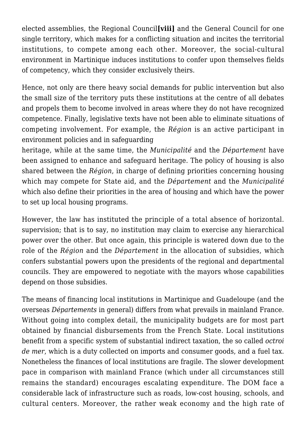elected assemblies, the Regional Council**[viii]** and the General Council for one single territory, which makes for a conflicting situation and incites the territorial institutions, to compete among each other. Moreover, the social-cultural environment in Martinique induces institutions to confer upon themselves fields of competency, which they consider exclusively theirs.

Hence, not only are there heavy social demands for public intervention but also the small size of the territory puts these institutions at the centre of all debates and propels them to become involved in areas where they do not have recognized competence. Finally, legislative texts have not been able to eliminate situations of competing involvement. For example, the *Région* is an active participant in environment policies and in safeguarding

heritage, while at the same time, the *Municipalité* and the *Département* have been assigned to enhance and safeguard heritage. The policy of housing is also shared between the *Région*, in charge of defining priorities concerning housing which may compete for State aid, and the *Département* and the *Municipalité* which also define their priorities in the area of housing and which have the power to set up local housing programs.

However, the law has instituted the principle of a total absence of horizontal. supervision; that is to say, no institution may claim to exercise any hierarchical power over the other. But once again, this principle is watered down due to the role of the *Région* and the *Département* in the allocation of subsidies, which confers substantial powers upon the presidents of the regional and departmental councils. They are empowered to negotiate with the mayors whose capabilities depend on those subsidies.

The means of financing local institutions in Martinique and Guadeloupe (and the overseas *Départements* in general) differs from what prevails in mainland France. Without going into complex detail, the municipality budgets are for most part obtained by financial disbursements from the French State. Local institutions benefit from a specific system of substantial indirect taxation, the so called *octroi de mer*, which is a duty collected on imports and consumer goods, and a fuel tax. Nonetheless the finances of local institutions are fragile. The slower development pace in comparison with mainland France (which under all circumstances still remains the standard) encourages escalating expenditure. The DOM face a considerable lack of infrastructure such as roads, low-cost housing, schools, and cultural centers. Moreover, the rather weak economy and the high rate of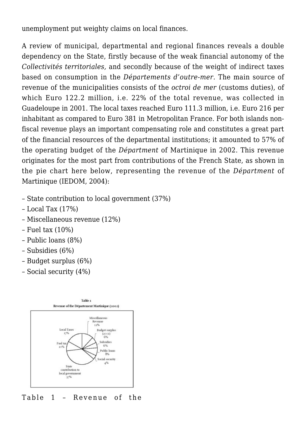unemployment put weighty claims on local finances.

A review of municipal, departmental and regional finances reveals a double dependency on the State, firstly because of the weak financial autonomy of the *Collectivités territoriales,* and secondly because of the weight of indirect taxes based on consumption in the *Départements d'outre-mer.* The main source of revenue of the municipalities consists of the *octroi de mer* (customs duties), of which Euro 122.2 million, i.e. 22% of the total revenue, was collected in Guadeloupe in 2001. The local taxes reached Euro 111.3 million, i.e. Euro 216 per inhabitant as compared to Euro 381 in Metropolitan France. For both islands nonfiscal revenue plays an important compensating role and constitutes a great part of the financial resources of the departmental institutions; it amounted to 57% of the operating budget of the *Départment* of Martinique in 2002. This revenue originates for the most part from contributions of the French State, as shown in the pie chart here below, representing the revenue of the *Départment* of Martinique (IEDOM, 2004):

- State contribution to local government (37%)
- Local Tax (17%)
- Miscellaneous revenue (12%)
- Fuel tax (10%)
- Public loans (8%)
- Subsidies (6%)
- Budget surplus (6%)
- Social security (4%)



Table 1 – Revenue of the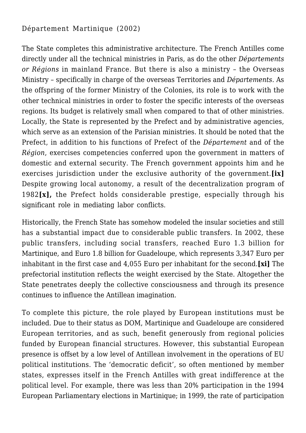# Département Martinique (2002)

The State completes this administrative architecture. The French Antilles come directly under all the technical ministries in Paris, as do the other *Départements or Régions* in mainland France. But there is also a ministry – the Overseas Ministry – specifically in charge of the overseas Territories and *Départements.* As the offspring of the former Ministry of the Colonies, its role is to work with the other technical ministries in order to foster the specific interests of the overseas regions. Its budget is relatively small when compared to that of other ministries. Locally, the State is represented by the Prefect and by administrative agencies, which serve as an extension of the Parisian ministries. It should be noted that the Prefect, in addition to his functions of Prefect of the *Département* and of the *Région*, exercises competencies conferred upon the government in matters of domestic and external security. The French government appoints him and he exercises jurisdiction under the exclusive authority of the government.**[ix]** Despite growing local autonomy, a result of the decentralization program of 1982**[x],** the Prefect holds considerable prestige, especially through his significant role in mediating labor conflicts.

Historically, the French State has somehow modeled the insular societies and still has a substantial impact due to considerable public transfers. In 2002, these public transfers, including social transfers, reached Euro 1.3 billion for Martinique, and Euro 1.8 billion for Guadeloupe, which represents 3,347 Euro per inhabitant in the first case and 4,055 Euro per inhabitant for the second.**[xi]** The prefectorial institution reflects the weight exercised by the State. Altogether the State penetrates deeply the collective consciousness and through its presence continues to influence the Antillean imagination.

To complete this picture, the role played by European institutions must be included. Due to their status as DOM, Martinique and Guadeloupe are considered European territories, and as such, benefit generously from regional policies funded by European financial structures. However, this substantial European presence is offset by a low level of Antillean involvement in the operations of EU political institutions. The 'democratic deficit', so often mentioned by member states, expresses itself in the French Antilles with great indifference at the political level. For example, there was less than 20% participation in the 1994 European Parliamentary elections in Martinique; in 1999, the rate of participation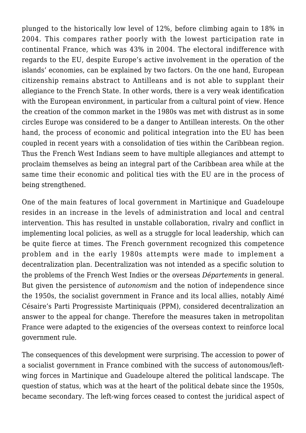plunged to the historically low level of 12%, before climbing again to 18% in 2004. This compares rather poorly with the lowest participation rate in continental France, which was 43% in 2004. The electoral indifference with regards to the EU, despite Europe's active involvement in the operation of the islands' economies, can be explained by two factors. On the one hand, European citizenship remains abstract to Antilleans and is not able to supplant their allegiance to the French State. In other words, there is a very weak identification with the European environment, in particular from a cultural point of view. Hence the creation of the common market in the 1980s was met with distrust as in some circles Europe was considered to be a danger to Antillean interests. On the other hand, the process of economic and political integration into the EU has been coupled in recent years with a consolidation of ties within the Caribbean region. Thus the French West Indians seem to have multiple allegiances and attempt to proclaim themselves as being an integral part of the Caribbean area while at the same time their economic and political ties with the EU are in the process of being strengthened.

One of the main features of local government in Martinique and Guadeloupe resides in an increase in the levels of administration and local and central intervention. This has resulted in unstable collaboration, rivalry and conflict in implementing local policies, as well as a struggle for local leadership, which can be quite fierce at times. The French government recognized this competence problem and in the early 1980s attempts were made to implement a decentralization plan. Decentralization was not intended as a specific solution to the problems of the French West Indies or the overseas *Départements* in general. But given the persistence of *autonomism* and the notion of independence since the 1950s, the socialist government in France and its local allies, notably Aimé Césaire's Parti Progressiste Martiniquais (PPM), considered decentralization an answer to the appeal for change. Therefore the measures taken in metropolitan France were adapted to the exigencies of the overseas context to reinforce local government rule.

The consequences of this development were surprising. The accession to power of a socialist government in France combined with the success of autonomous/leftwing forces in Martinique and Guadeloupe altered the political landscape. The question of status, which was at the heart of the political debate since the 1950s, became secondary. The left-wing forces ceased to contest the juridical aspect of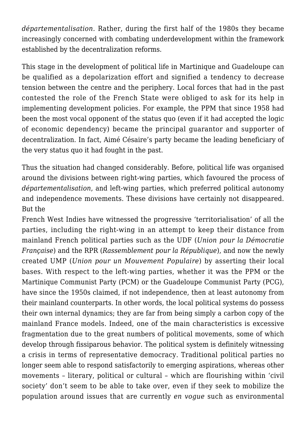*départementalisation.* Rather, during the first half of the 1980s they became increasingly concerned with combating underdevelopment within the framework established by the decentralization reforms.

This stage in the development of political life in Martinique and Guadeloupe can be qualified as a depolarization effort and signified a tendency to decrease tension between the centre and the periphery. Local forces that had in the past contested the role of the French State were obliged to ask for its help in implementing development policies. For example, the PPM that since 1958 had been the most vocal opponent of the status quo (even if it had accepted the logic of economic dependency) became the principal guarantor and supporter of decentralization. In fact, Aimé Césaire's party became the leading beneficiary of the very status quo it had fought in the past.

Thus the situation had changed considerably. Before, political life was organised around the divisions between right-wing parties, which favoured the process of *départementalisation*, and left-wing parties, which preferred political autonomy and independence movements. These divisions have certainly not disappeared. But the

French West Indies have witnessed the progressive 'territorialisation' of all the parties, including the right-wing in an attempt to keep their distance from mainland French political parties such as the UDF (*Union pour la Démocratie Française*) and the RPR (*Rassemblement pour la République*), and now the newly created UMP (*Union pour un Mouvement Populaire*) by asserting their local bases. With respect to the left-wing parties, whether it was the PPM or the Martinique Communist Party (PCM) or the Guadeloupe Communist Party (PCG), have since the 1950s claimed, if not independence, then at least autonomy from their mainland counterparts. In other words, the local political systems do possess their own internal dynamics; they are far from being simply a carbon copy of the mainland France models. Indeed, one of the main characteristics is excessive fragmentation due to the great numbers of political movements, some of which develop through fissiparous behavior. The political system is definitely witnessing a crisis in terms of representative democracy. Traditional political parties no longer seem able to respond satisfactorily to emerging aspirations, whereas other movements – literary, political or cultural – which are flourishing within 'civil society' don't seem to be able to take over, even if they seek to mobilize the population around issues that are currently *en vogue* such as environmental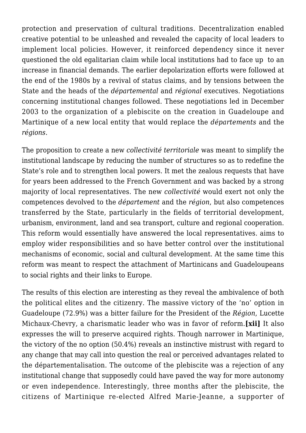protection and preservation of cultural traditions. Decentralization enabled creative potential to be unleashed and revealed the capacity of local leaders to implement local policies. However, it reinforced dependency since it never questioned the old egalitarian claim while local institutions had to face up to an increase in financial demands. The earlier depolarization efforts were followed at the end of the 1980s by a revival of status claims, and by tensions between the State and the heads of the *départemental* and *régional* executives. Negotiations concerning institutional changes followed. These negotiations led in December 2003 to the organization of a plebiscite on the creation in Guadeloupe and Martinique of a new local entity that would replace the *départements* and the *régions*.

The proposition to create a new *collectivité territoriale* was meant to simplify the institutional landscape by reducing the number of structures so as to redefine the State's role and to strengthen local powers. It met the zealous requests that have for years been addressed to the French Government and was backed by a strong majority of local representatives. The new *collectivité* would exert not only the competences devolved to the *département* and the *région*, but also competences transferred by the State, particularly in the fields of territorial development, urbanism, environment, land and sea transport, culture and regional cooperation. This reform would essentially have answered the local representatives. aims to employ wider responsibilities and so have better control over the institutional mechanisms of economic, social and cultural development. At the same time this reform was meant to respect the attachment of Martinicans and Guadeloupeans to social rights and their links to Europe.

The results of this election are interesting as they reveal the ambivalence of both the political elites and the citizenry. The massive victory of the 'no' option in Guadeloupe (72.9%) was a bitter failure for the President of the *Région*, Lucette Michaux-Chevry, a charismatic leader who was in favor of reform.**[xii]** It also expresses the will to preserve acquired rights. Though narrower in Martinique, the victory of the no option (50.4%) reveals an instinctive mistrust with regard to any change that may call into question the real or perceived advantages related to the départementalisation. The outcome of the plebiscite was a rejection of any institutional change that supposedly could have paved the way for more autonomy or even independence. Interestingly, three months after the plebiscite, the citizens of Martinique re-elected Alfred Marie-Jeanne, a supporter of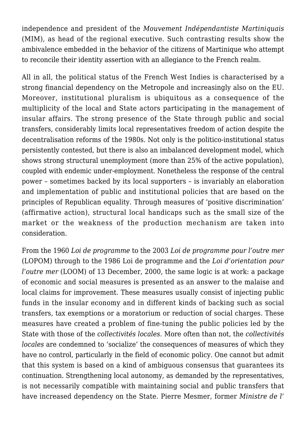independence and president of the *Mouvement Indépendantiste Martiniquais* (MIM), as head of the regional executive. Such contrasting results show the ambivalence embedded in the behavior of the citizens of Martinique who attempt to reconcile their identity assertion with an allegiance to the French realm.

All in all, the political status of the French West Indies is characterised by a strong financial dependency on the Metropole and increasingly also on the EU. Moreover, institutional pluralism is ubiquitous as a consequence of the multiplicity of the local and State actors participating in the management of insular affairs. The strong presence of the State through public and social transfers, considerably limits local representatives freedom of action despite the decentralisation reforms of the 1980s. Not only is the politico-institutional status persistently contested, but there is also an imbalanced development model, which shows strong structural unemployment (more than 25% of the active population), coupled with endemic under-employment. Nonetheless the response of the central power – sometimes backed by its local supporters – is invariably an elaboration and implementation of public and institutional policies that are based on the principles of Republican equality. Through measures of 'positive discrimination' (affirmative action), structural local handicaps such as the small size of the market or the weakness of the production mechanism are taken into consideration.

From the 1960 *Loi de programme* to the 2003 *Loi de programme pour l'outre mer* (LOPOM) through to the 1986 Loi de programme and the *Loi d'orientation pour l'outre mer* (LOOM) of 13 December, 2000, the same logic is at work: a package of economic and social measures is presented as an answer to the malaise and local claims for improvement. These measures usually consist of injecting public funds in the insular economy and in different kinds of backing such as social transfers, tax exemptions or a moratorium or reduction of social charges. These measures have created a problem of fine-tuning the public policies led by the State with those of the *collectivités locales*. More often than not, the *collectivités locales* are condemned to 'socialize' the consequences of measures of which they have no control, particularly in the field of economic policy. One cannot but admit that this system is based on a kind of ambiguous consensus that guarantees its continuation. Strengthening local autonomy, as demanded by the representatives, is not necessarily compatible with maintaining social and public transfers that have increased dependency on the State. Pierre Mesmer, former *Ministre de l'*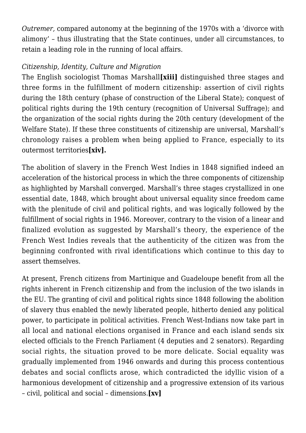*Outremer,* compared autonomy at the beginning of the 1970s with a 'divorce with alimony' – thus illustrating that the State continues, under all circumstances, to retain a leading role in the running of local affairs.

## *Citizenship, Identity, Culture and Migration*

The English sociologist Thomas Marshall**[xiii]** distinguished three stages and three forms in the fulfillment of modern citizenship: assertion of civil rights during the 18th century (phase of construction of the Liberal State); conquest of political rights during the 19th century (recognition of Universal Suffrage); and the organization of the social rights during the 20th century (development of the Welfare State). If these three constituents of citizenship are universal, Marshall's chronology raises a problem when being applied to France, especially to its outermost territories**[xiv].**

The abolition of slavery in the French West Indies in 1848 signified indeed an acceleration of the historical process in which the three components of citizenship as highlighted by Marshall converged. Marshall's three stages crystallized in one essential date, 1848, which brought about universal equality since freedom came with the plenitude of civil and political rights, and was logically followed by the fulfillment of social rights in 1946. Moreover, contrary to the vision of a linear and finalized evolution as suggested by Marshall's theory, the experience of the French West Indies reveals that the authenticity of the citizen was from the beginning confronted with rival identifications which continue to this day to assert themselves.

At present, French citizens from Martinique and Guadeloupe benefit from all the rights inherent in French citizenship and from the inclusion of the two islands in the EU. The granting of civil and political rights since 1848 following the abolition of slavery thus enabled the newly liberated people, hitherto denied any political power, to participate in political activities. French West-Indians now take part in all local and national elections organised in France and each island sends six elected officials to the French Parliament (4 deputies and 2 senators). Regarding social rights, the situation proved to be more delicate. Social equality was gradually implemented from 1946 onwards and during this process contentious debates and social conflicts arose, which contradicted the idyllic vision of a harmonious development of citizenship and a progressive extension of its various – civil, political and social – dimensions.**[xv]**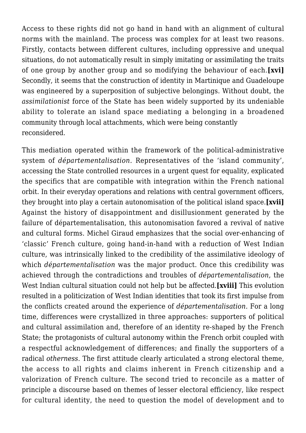Access to these rights did not go hand in hand with an alignment of cultural norms with the mainland. The process was complex for at least two reasons. Firstly, contacts between different cultures, including oppressive and unequal situations, do not automatically result in simply imitating or assimilating the traits of one group by another group and so modifying the behaviour of each.**[xvi]** Secondly, it seems that the construction of identity in Martinique and Guadeloupe was engineered by a superposition of subjective belongings. Without doubt, the *assimilationist* force of the State has been widely supported by its undeniable ability to tolerate an island space mediating a belonging in a broadened community through local attachments, which were being constantly reconsidered.

This mediation operated within the framework of the political-administrative system of *départementalisation.* Representatives of the 'island community', accessing the State controlled resources in a urgent quest for equality, explicated the specifics that are compatible with integration within the French national orbit. In their everyday operations and relations with central government officers, they brought into play a certain autonomisation of the political island space.**[xvii]** Against the history of disappointment and disillusionment generated by the failure of départementalisation, this autonomisation favored a revival of native and cultural forms. Michel Giraud emphasizes that the social over-enhancing of 'classic' French culture, going hand-in-hand with a reduction of West Indian culture, was intrinsically linked to the credibility of the assimilative ideology of which *départementalisation* was the major product. Once this credibility was achieved through the contradictions and troubles of *départementalisation*, the West Indian cultural situation could not help but be affected.**[xviii]** This evolution resulted in a politicization of West Indian identities that took its first impulse from the conflicts created around the experience of *départementalisation.* For a long time, differences were crystallized in three approaches: supporters of political and cultural assimilation and, therefore of an identity re-shaped by the French State; the protagonists of cultural autonomy within the French orbit coupled with a respectful acknowledgement of differences; and finally the supporters of a radical *otherness*. The first attitude clearly articulated a strong electoral theme, the access to all rights and claims inherent in French citizenship and a valorization of French culture. The second tried to reconcile as a matter of principle a discourse based on themes of lesser electoral efficiency, like respect for cultural identity, the need to question the model of development and to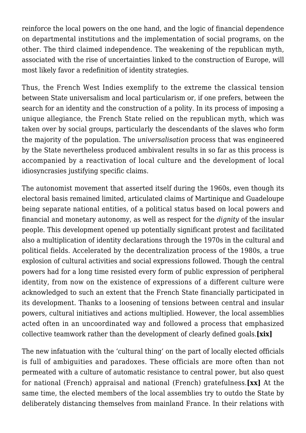reinforce the local powers on the one hand, and the logic of financial dependence on departmental institutions and the implementation of social programs, on the other. The third claimed independence. The weakening of the republican myth, associated with the rise of uncertainties linked to the construction of Europe, will most likely favor a redefinition of identity strategies.

Thus, the French West Indies exemplify to the extreme the classical tension between State universalism and local particularism or, if one prefers, between the search for an identity and the construction of a polity. In its process of imposing a unique allegiance, the French State relied on the republican myth, which was taken over by social groups, particularly the descendants of the slaves who form the majority of the population. The *universalisation* process that was engineered by the State nevertheless produced ambivalent results in so far as this process is accompanied by a reactivation of local culture and the development of local idiosyncrasies justifying specific claims.

The autonomist movement that asserted itself during the 1960s, even though its electoral basis remained limited, articulated claims of Martinique and Guadeloupe being separate national entities, of a political status based on local powers and financial and monetary autonomy, as well as respect for the *dignity* of the insular people. This development opened up potentially significant protest and facilitated also a multiplication of identity declarations through the 1970s in the cultural and political fields. Accelerated by the decentralization process of the 1980s, a true explosion of cultural activities and social expressions followed. Though the central powers had for a long time resisted every form of public expression of peripheral identity, from now on the existence of expressions of a different culture were acknowledged to such an extent that the French State financially participated in its development. Thanks to a loosening of tensions between central and insular powers, cultural initiatives and actions multiplied. However, the local assemblies acted often in an uncoordinated way and followed a process that emphasized collective teamwork rather than the development of clearly defined goals.**[xix]**

The new infatuation with the 'cultural thing' on the part of locally elected officials is full of ambiguities and paradoxes. These officials are more often than not permeated with a culture of automatic resistance to central power, but also quest for national (French) appraisal and national (French) gratefulness.**[xx]** At the same time, the elected members of the local assemblies try to outdo the State by deliberately distancing themselves from mainland France. In their relations with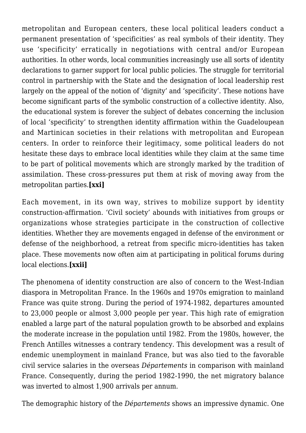metropolitan and European centers, these local political leaders conduct a permanent presentation of 'specificities' as real symbols of their identity. They use 'specificity' erratically in negotiations with central and/or European authorities. In other words, local communities increasingly use all sorts of identity declarations to garner support for local public policies. The struggle for territorial control in partnership with the State and the designation of local leadership rest largely on the appeal of the notion of 'dignity' and 'specificity'. These notions have become significant parts of the symbolic construction of a collective identity. Also, the educational system is forever the subject of debates concerning the inclusion of local 'specificity' to strengthen identity affirmation within the Guadeloupean and Martinican societies in their relations with metropolitan and European centers. In order to reinforce their legitimacy, some political leaders do not hesitate these days to embrace local identities while they claim at the same time to be part of political movements which are strongly marked by the tradition of assimilation. These cross-pressures put them at risk of moving away from the metropolitan parties.**[xxi]**

Each movement, in its own way, strives to mobilize support by identity construction-affirmation. 'Civil society' abounds with initiatives from groups or organizations whose strategies participate in the construction of collective identities. Whether they are movements engaged in defense of the environment or defense of the neighborhood, a retreat from specific micro-identities has taken place. These movements now often aim at participating in political forums during local elections.**[xxii]**

The phenomena of identity construction are also of concern to the West-Indian diaspora in Metropolitan France. In the 1960s and 1970s emigration to mainland France was quite strong. During the period of 1974-1982, departures amounted to 23,000 people or almost 3,000 people per year. This high rate of emigration enabled a large part of the natural population growth to be absorbed and explains the moderate increase in the population until 1982. From the 1980s, however, the French Antilles witnesses a contrary tendency. This development was a result of endemic unemployment in mainland France, but was also tied to the favorable civil service salaries in the overseas *Départements* in comparison with mainland France. Consequently, during the period 1982-1990, the net migratory balance was inverted to almost 1,900 arrivals per annum.

The demographic history of the *Départements* shows an impressive dynamic. One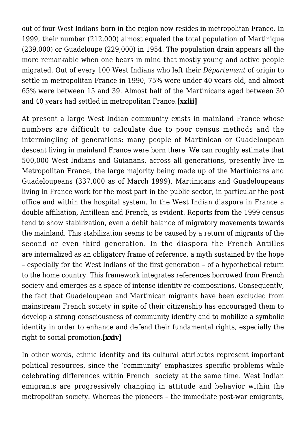out of four West Indians born in the region now resides in metropolitan France. In 1999, their number (212,000) almost equaled the total population of Martinique (239,000) or Guadeloupe (229,000) in 1954. The population drain appears all the more remarkable when one bears in mind that mostly young and active people migrated. Out of every 100 West Indians who left their *Département* of origin to settle in metropolitan France in 1990, 75% were under 40 years old, and almost 65% were between 15 and 39. Almost half of the Martinicans aged between 30 and 40 years had settled in metropolitan France.**[xxiii]**

At present a large West Indian community exists in mainland France whose numbers are difficult to calculate due to poor census methods and the intermingling of generations: many people of Martinican or Guadeloupean descent living in mainland France were born there. We can roughly estimate that 500,000 West Indians and Guianans, across all generations, presently live in Metropolitan France, the large majority being made up of the Martinicans and Guadeloupeans (337,000 as of March 1999). Martinicans and Guadeloupeans living in France work for the most part in the public sector, in particular the post office and within the hospital system. In the West Indian diaspora in France a double affiliation, Antillean and French, is evident. Reports from the 1999 census tend to show stabilization, even a debit balance of migratory movements towards the mainland. This stabilization seems to be caused by a return of migrants of the second or even third generation. In the diaspora the French Antilles are internalized as an obligatory frame of reference, a myth sustained by the hope – especially for the West Indians of the first generation – of a hypothetical return to the home country. This framework integrates references borrowed from French society and emerges as a space of intense identity re-compositions. Consequently, the fact that Guadeloupean and Martinican migrants have been excluded from mainstream French society in spite of their citizenship has encouraged them to develop a strong consciousness of community identity and to mobilize a symbolic identity in order to enhance and defend their fundamental rights, especially the right to social promotion.**[xxiv]**

In other words, ethnic identity and its cultural attributes represent important political resources, since the 'community' emphasizes specific problems while celebrating differences within French society at the same time. West Indian emigrants are progressively changing in attitude and behavior within the metropolitan society. Whereas the pioneers – the immediate post-war emigrants,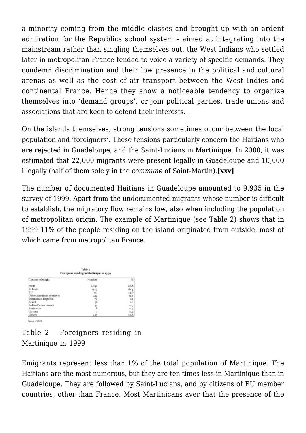a minority coming from the middle classes and brought up with an ardent admiration for the Republics school system – aimed at integrating into the mainstream rather than singling themselves out, the West Indians who settled later in metropolitan France tended to voice a variety of specific demands. They condemn discrimination and their low presence in the political and cultural arenas as well as the cost of air transport between the West Indies and continental France. Hence they show a noticeable tendency to organize themselves into 'demand groups', or join political parties, trade unions and associations that are keen to defend their interests.

On the islands themselves, strong tensions sometimes occur between the local population and 'foreigners'. These tensions particularly concern the Haitians who are rejected in Guadeloupe, and the Saint-Lucians in Martinique. In 2000, it was estimated that 22,000 migrants were present legally in Guadeloupe and 10,000 illegally (half of them solely in the *commune* of Saint-Martin).**[xxv]**

The number of documented Haitians in Guadeloupe amounted to 9,935 in the survey of 1999. Apart from the undocumented migrants whose number is difficult to establish, the migratory flow remains low, also when including the population of metropolitan origin. The example of Martinique (see Table 2) shows that in 1999 11% of the people residing on the island originated from outside, most of which came from metropolitan France.

| Table 2<br>Foreigners residing in Martinique in 1999 |                       |      |  |
|------------------------------------------------------|-----------------------|------|--|
| Country of origin                                    | Number                | 96   |  |
| Haiti                                                | LO32                  | 28.8 |  |
| St Lucia                                             | 949                   | 26.4 |  |
| EU                                                   | 531                   | 14.8 |  |
| Other American countries                             |                       | 12.1 |  |
| Dominican Republic                                   |                       | 2.1  |  |
| Brazil                                               | $434$<br>$76$<br>$58$ | L6   |  |
| Indian Ocean islands                                 |                       | D.Q  |  |
| Suriname                                             | $\frac{32}{8}$        | 0.3  |  |
| Guyana                                               |                       | 0.2  |  |
| Others                                               | 459                   | 12.8 |  |

Table 2 – Foreigners residing in Martinique in 1999

Emigrants represent less than 1% of the total population of Martinique. The Haitians are the most numerous, but they are ten times less in Martinique than in Guadeloupe. They are followed by Saint-Lucians, and by citizens of EU member countries, other than France. Most Martinicans aver that the presence of the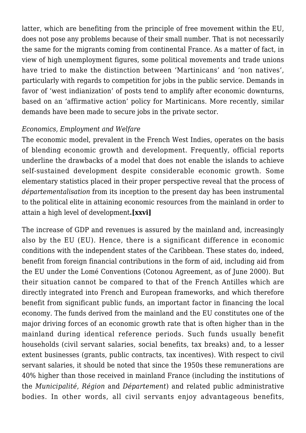latter, which are benefiting from the principle of free movement within the EU, does not pose any problems because of their small number. That is not necessarily the same for the migrants coming from continental France. As a matter of fact, in view of high unemployment figures, some political movements and trade unions have tried to make the distinction between 'Martinicans' and 'non natives', particularly with regards to competition for jobs in the public service. Demands in favor of 'west indianization' of posts tend to amplify after economic downturns, based on an 'affirmative action' policy for Martinicans. More recently, similar demands have been made to secure jobs in the private sector.

#### *Economics, Employment and Welfare*

The economic model, prevalent in the French West Indies, operates on the basis of blending economic growth and development. Frequently, official reports underline the drawbacks of a model that does not enable the islands to achieve self-sustained development despite considerable economic growth. Some elementary statistics placed in their proper perspective reveal that the process of *départementalisation* from its inception to the present day has been instrumental to the political elite in attaining economic resources from the mainland in order to attain a high level of development**.[xxvi]**

The increase of GDP and revenues is assured by the mainland and, increasingly also by the EU (EU). Hence, there is a significant difference in economic conditions with the independent states of the Caribbean. These states do, indeed, benefit from foreign financial contributions in the form of aid, including aid from the EU under the Lomé Conventions (Cotonou Agreement, as of June 2000). But their situation cannot be compared to that of the French Antilles which are directly integrated into French and European frameworks, and which therefore benefit from significant public funds, an important factor in financing the local economy. The funds derived from the mainland and the EU constitutes one of the major driving forces of an economic growth rate that is often higher than in the mainland during identical reference periods. Such funds usually benefit households (civil servant salaries, social benefits, tax breaks) and, to a lesser extent businesses (grants, public contracts, tax incentives). With respect to civil servant salaries, it should be noted that since the 1950s these remunerations are 40% higher than those received in mainland France (including the institutions of the *Municipalité, Région* and *Département*) and related public administrative bodies. In other words, all civil servants enjoy advantageous benefits,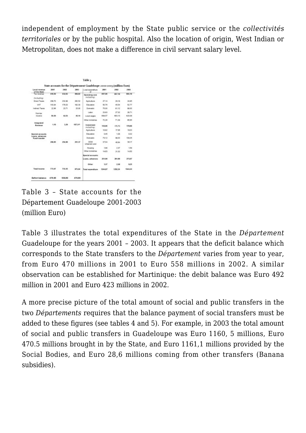independent of employment by the State public service or the *collectivités territoriales* or by the public hospital. Also the location of origin, West Indian or Metropolitan, does not make a difference in civil servant salary level.

|                                  |               |                  |                  | State accounts for the Département Guadeloupe 2001-2003 (million Euro) |         |         |          |
|----------------------------------|---------------|------------------|------------------|------------------------------------------------------------------------|---------|---------|----------|
| Local revenue<br>of the State    | 2001          | 2002             | 2003             | Local expenditure<br>vit.                                              | 2001    | 2002    | 2003.    |
| Tax revenue<br>Including:        | 458.50        | 432.65           | 450.62           | <b>Operating cest</b><br>including:                                    | 857.95  | 857.18  | 663 95   |
| Direct Taxes                     | 268.70        | 232.89           | 362.62           | Agripulture                                                            | 27.54   | 29.10   | 34.95    |
| <b>VAT</b>                       | 163.84        | 178.03           | 182.30           | Education                                                              | 50.76   | 45.04   | 52.77    |
| Indirect Taxes                   | 22.96         | 23.71            | 25.00            | Domestic                                                               | 25.00   | 81.12   | 88.00    |
| <b>Non-hac</b>                   |               |                  |                  | Labar                                                                  | 23.63   | 27.32   | 28.71    |
| Insorte                          | 50.50         | 43.83            | 45.14            | Local wages                                                            | 608.57  | 803.53  | 823 (18) |
|                                  |               |                  | Other ministries | 72.26                                                                  | 71.39   | 65.65   |          |
| Integrated<br>Reverse            | 1.90          | 3.29             | 107.345          | Investment<br>including:                                               | 135,05  | 170.70  | 178.95   |
|                                  |               |                  |                  | Agripulture                                                            | 10.82   | 17.06   | 18/33    |
| Special accounts.                |               |                  |                  | Education                                                              | 0.45    | 1.30    | 0.32     |
| Loans, advances<br>Fund transfer |               |                  |                  | Domestic                                                               | 70.12   | 88.03   | 108.35   |
|                                  | <b>268.85</b> | 254.90           | 251.37           | <b>DOM</b><br>Urbanism and                                             | 37.04   | 43.84   | 38.17    |
|                                  |               |                  |                  | Housing                                                                | 198     | 2.37    | 1.59     |
|                                  |               | Other ministries | 14/53            | 24.92                                                                  | 14.50   |         |          |
|                                  |               |                  |                  | Special accounts                                                       |         |         |          |
|                                  |               |                  |                  | Loans, advances                                                        | 251.08  | 261.98  | 273.97   |
|                                  |               |                  |                  | Other                                                                  | 1.37    | 2.38    | 8.25     |
| <b>Total Income</b>              | TTL ST        | <b>T33.35</b>    | 873.64           | Total expenditure                                                      | 1244,87 | 1202.24 | 1344.64  |
| Deficit balance                  | 470.90        | 558,89           | 470.80           |                                                                        |         |         |          |

Table 3 – State accounts for the Département Guadeloupe 2001-2003 (million Euro)

Table 3 illustrates the total expenditures of the State in the *Département* Guadeloupe for the years 2001 – 2003. It appears that the deficit balance which corresponds to the State transfers to the *Département* varies from year to year, from Euro 470 millions in 2001 to Euro 558 millions in 2002. A similar observation can be established for Martinique: the debit balance was Euro 492 million in 2001 and Euro 423 millions in 2002.

A more precise picture of the total amount of social and public transfers in the two *Départements* requires that the balance payment of social transfers must be added to these figures (see tables 4 and 5). For example, in 2003 the total amount of social and public transfers in Guadeloupe was Euro 1160, 5 millions, Euro 470.5 millions brought in by the State, and Euro 1161,1 millions provided by the Social Bodies, and Euro 28,6 millions coming from other transfers (Banana subsidies).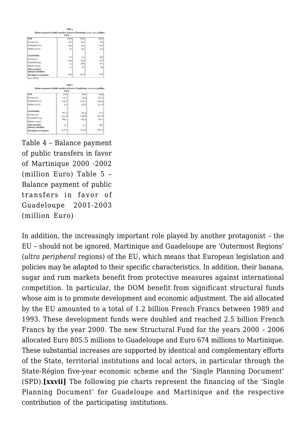| Balance payment of public transfers in favor of Martinique 2000-2002 (million<br>Euroj |               |                  |                                  |  |  |
|----------------------------------------------------------------------------------------|---------------|------------------|----------------------------------|--|--|
| State                                                                                  | 2.006         | 2601             | 2010/8                           |  |  |
| Reverase do                                                                            | 811           | 840              | 815                              |  |  |
| Expenditure (a)                                                                        | 1399          | 1332             | 1256                             |  |  |
| Balance (a)-(c)                                                                        | 97            | 493              | 425                              |  |  |
| Sacial Badies                                                                          |               | 74               | opi                              |  |  |
| Reverse G                                                                              | 757<br>1494   | 1994.            | 1746                             |  |  |
| Expenditure(4)                                                                         | 797           | 868              | 580                              |  |  |
| Balance (4)-(1)                                                                        | DO 5          | 66               | 84                               |  |  |
| Other mandless.<br>(Banana subsidien)                                                  |               |                  |                                  |  |  |
| Not balance of transfers.                                                              | 1350          | 1420             | ta87                             |  |  |
| Balance payment of public transfers in favor of Guadeloupe 2001-2003 (million          | Table 5       |                  |                                  |  |  |
|                                                                                        | <b>Funoj</b>  |                  |                                  |  |  |
|                                                                                        | 3008          | 3003.            |                                  |  |  |
|                                                                                        | 774.0         | 733.4            |                                  |  |  |
| Same: IESOM<br>State<br>Revenue dd.<br>Expenditure (2)                                 | 1245.0        | 6293.3           |                                  |  |  |
| Balance (a)-10                                                                         | 471           | 0.86             | 3.00%<br>8746<br>1344.4<br>420.8 |  |  |
| Social Bodies                                                                          |               |                  |                                  |  |  |
|                                                                                        | 690.5         | \$93.4           |                                  |  |  |
| Revenue (t)<br>Expenditure (4)                                                         | PE74.8        | T148.8<br>1181.4 |                                  |  |  |
|                                                                                        | $88 + 1$      |                  | 70.7<br>1872.8<br>ибы            |  |  |
| Balance (4)-00<br>Other transfers<br>(Banana subsidies)                                | 857<br>1378.9 | 57.3             | $-86$<br>1660.5                  |  |  |

Table 4 – Balance payment of public transfers in favor of Martinique 2000 -2002 (million Euro) Table 5 – Balance payment of public transfers in favor of Guadeloupe 2001-2003 (million Euro)

In addition, the increasingly important role played by another protagonist – the EU – should not be ignored. Martinique and Guadeloupe are 'Outermost Regions' (*ultra peripheral* regions) of the EU, which means that European legislation and policies may be adapted to their specific characteristics. In addition, their banana, sugar and rum markets benefit from protective measures against international competition. In particular, the DOM benefit from significant structural funds whose aim is to promote development and economic adjustment. The aid allocated by the EU amounted to a total of 1.2 billion French Francs between 1989 and 1993. These development funds were doubled and reached 2.5 billion French Francs by the year 2000. The new Structural Fund for the years 2000 – 2006 allocated Euro 805.5 millions to Guadeloupe and Euro 674 millions to Martinique. These substantial increases are supported by identical and complementary efforts of the State, territorial institutions and local actors, in particular through the State-Région five-year economic scheme and the 'Single Planning Document' (SPD).**[xxvii]** The following pie charts represent the financing of the 'Single Planning Document' for Guadeloupe and Martinique and the respective contribution of the participating institutions.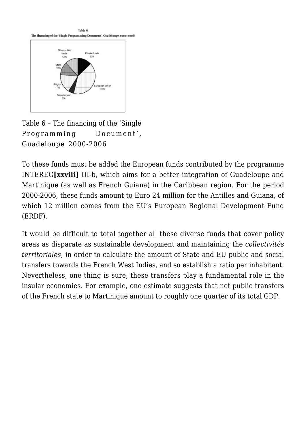

Table 6 – The financing of the 'Single Programming Document', Guadeloupe 2000-2006

To these funds must be added the European funds contributed by the programme INTEREG**[xxviii]** III-b, which aims for a better integration of Guadeloupe and Martinique (as well as French Guiana) in the Caribbean region. For the period 2000-2006, these funds amount to Euro 24 million for the Antilles and Guiana, of which 12 million comes from the EU's European Regional Development Fund (ERDF).

It would be difficult to total together all these diverse funds that cover policy areas as disparate as sustainable development and maintaining the *collectivités territoriales*, in order to calculate the amount of State and EU public and social transfers towards the French West Indies, and so establish a ratio per inhabitant. Nevertheless, one thing is sure, these transfers play a fundamental role in the insular economies. For example, one estimate suggests that net public transfers of the French state to Martinique amount to roughly one quarter of its total GDP.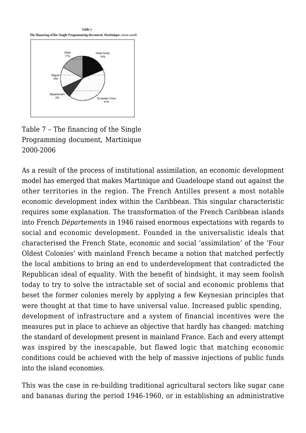

Table 7 – The financing of the Single Programming document, Martinique 2000-2006

As a result of the process of institutional assimilation, an economic development model has emerged that makes Martinique and Guadeloupe stand out against the other territories in the region. The French Antilles present a most notable economic development index within the Caribbean. This singular characteristic requires some explanation. The transformation of the French Caribbean islands into French *Départements* in 1946 raised enormous expectations with regards to social and economic development. Founded in the universalistic ideals that characterised the French State, economic and social 'assimilation' of the 'Four Oldest Colonies' with mainland French became a notion that matched perfectly the local ambitions to bring an end to underdevelopment that contradicted the Republican ideal of equality. With the benefit of hindsight, it may seem foolish today to try to solve the intractable set of social and economic problems that beset the former colonies merely by applying a few Keynesian principles that were thought at that time to have universal value. Increased public spending, development of infrastructure and a system of financial incentives were the measures put in place to achieve an objective that hardly has changed: matching the standard of development present in mainland France. Each and every attempt was inspired by the inescapable, but flawed logic that matching economic conditions could be achieved with the help of massive injections of public funds into the island economies.

This was the case in re-building traditional agricultural sectors like sugar cane and bananas during the period 1946-1960, or in establishing an administrative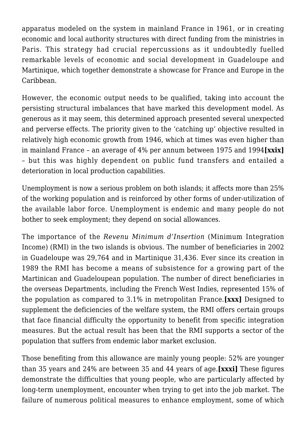apparatus modeled on the system in mainland France in 1961, or in creating economic and local authority structures with direct funding from the ministries in Paris. This strategy had crucial repercussions as it undoubtedly fuelled remarkable levels of economic and social development in Guadeloupe and Martinique, which together demonstrate a showcase for France and Europe in the Caribbean.

However, the economic output needs to be qualified, taking into account the persisting structural imbalances that have marked this development model. As generous as it may seem, this determined approach presented several unexpected and perverse effects. The priority given to the 'catching up' objective resulted in relatively high economic growth from 1946, which at times was even higher than in mainland France – an average of 4% per annum between 1975 and 1994**[xxix]** – but this was highly dependent on public fund transfers and entailed a deterioration in local production capabilities.

Unemployment is now a serious problem on both islands; it affects more than 25% of the working population and is reinforced by other forms of under-utilization of the available labor force. Unemployment is endemic and many people do not bother to seek employment; they depend on social allowances.

The importance of the *Revenu Minimum d'Insertion* (Minimum Integration Income) (RMI) in the two islands is obvious. The number of beneficiaries in 2002 in Guadeloupe was 29,764 and in Martinique 31,436. Ever since its creation in 1989 the RMI has become a means of subsistence for a growing part of the Martinican and Guadeloupean population. The number of direct beneficiaries in the overseas Departments, including the French West Indies, represented 15% of the population as compared to 3.1% in metropolitan France.**[xxx]** Designed to supplement the deficiencies of the welfare system, the RMI offers certain groups that face financial difficulty the opportunity to benefit from specific integration measures. But the actual result has been that the RMI supports a sector of the population that suffers from endemic labor market exclusion.

Those benefiting from this allowance are mainly young people: 52% are younger than 35 years and 24% are between 35 and 44 years of age.**[xxxi]** These figures demonstrate the difficulties that young people, who are particularly affected by long-term unemployment, encounter when trying to get into the job market. The failure of numerous political measures to enhance employment, some of which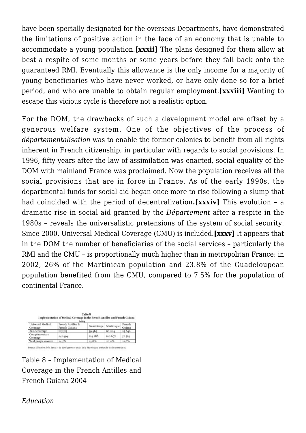have been specially designated for the overseas Departments, have demonstrated the limitations of positive action in the face of an economy that is unable to accommodate a young population.**[xxxii]** The plans designed for them allow at best a respite of some months or some years before they fall back onto the guaranteed RMI. Eventually this allowance is the only income for a majority of young beneficiaries who have never worked, or have only done so for a brief period, and who are unable to obtain regular employment.**[xxxiii]** Wanting to escape this vicious cycle is therefore not a realistic option.

For the DOM, the drawbacks of such a development model are offset by a generous welfare system. One of the objectives of the process of *départementalisation* was to enable the former colonies to benefit from all rights inherent in French citizenship, in particular with regards to social provisions. In 1996, fifty years after the law of assimilation was enacted, social equality of the DOM with mainland France was proclaimed. Now the population receives all the social provisions that are in force in France. As of the early 1990s, the departmental funds for social aid began once more to rise following a slump that had coincided with the period of decentralization**.[xxxiv]** This evolution – a dramatic rise in social aid granted by the *Département* after a respite in the 1980s – reveals the universalistic pretensions of the system of social security. Since 2000, Universal Medical Coverage (CMU) is included.**[xxxv]** It appears that in the DOM the number of beneficiaries of the social services – particularly the RMI and the CMU – is proportionally much higher than in metropolitan France: in 2002, 26% of the Martinican population and 23.8% of the Guadeloupean population benefited from the CMU, compared to 7.5% for the population of continental France.

| Table 8<br>Implementation of Medical Coverage in the French Antilles and French Guiana<br>2004 |                                    |                       |         |                  |
|------------------------------------------------------------------------------------------------|------------------------------------|-----------------------|---------|------------------|
| Universal Medical<br>Coverage                                                                  | French Antilles &<br>French Guiana | Guadeloupe Martinique |         | French<br>Guiana |
| Basic coverage                                                                                 | 165 575                            | 50.465                | 80264   | 25846            |
| Complementary<br>Coverage                                                                      | 241 494                            | 103 288               | 100 677 | \$7.529          |
| % of people covered                                                                            | 24.3%                              | 21.8%                 | 20.0%   | 21.8%            |

Source: Direction de la Santé et du dételoppement social de la Maminique, service des études statistiques

Table 8 – Implementation of Medical Coverage in the French Antilles and French Guiana 2004

## *Education*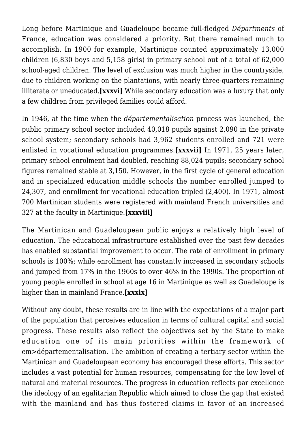Long before Martinique and Guadeloupe became full-fledged *Départments* of France, education was considered a priority. But there remained much to accomplish. In 1900 for example, Martinique counted approximately 13,000 children (6,830 boys and 5,158 girls) in primary school out of a total of 62,000 school-aged children. The level of exclusion was much higher in the countryside, due to children working on the plantations, with nearly three-quarters remaining illiterate or uneducated.**[xxxvi]** While secondary education was a luxury that only a few children from privileged families could afford.

In 1946, at the time when the *départementalisation* process was launched, the public primary school sector included 40,018 pupils against 2,090 in the private school system; secondary schools had 3,962 students enrolled and 721 were enlisted in vocational education programmes.**[xxxvii]** In 1971, 25 years later, primary school enrolment had doubled, reaching 88,024 pupils; secondary school figures remained stable at 3,150. However, in the first cycle of general education and in specialized education middle schools the number enrolled jumped to 24,307, and enrollment for vocational education tripled (2,400). In 1971, almost 700 Martinican students were registered with mainland French universities and 327 at the faculty in Martinique.**[xxxviii]**

The Martinican and Guadeloupean public enjoys a relatively high level of education. The educational infrastructure established over the past few decades has enabled substantial improvement to occur. The rate of enrollment in primary schools is 100%; while enrollment has constantly increased in secondary schools and jumped from 17% in the 1960s to over 46% in the 1990s. The proportion of young people enrolled in school at age 16 in Martinique as well as Guadeloupe is higher than in mainland France.**[xxxix]**

Without any doubt, these results are in line with the expectations of a major part of the population that perceives education in terms of cultural capital and social progress. These results also reflect the objectives set by the State to make education one of its main priorities within the framework of em>départementalisation. The ambition of creating a tertiary sector within the Martinican and Guadeloupean economy has encouraged these efforts. This sector includes a vast potential for human resources, compensating for the low level of natural and material resources. The progress in education reflects par excellence the ideology of an egalitarian Republic which aimed to close the gap that existed with the mainland and has thus fostered claims in favor of an increased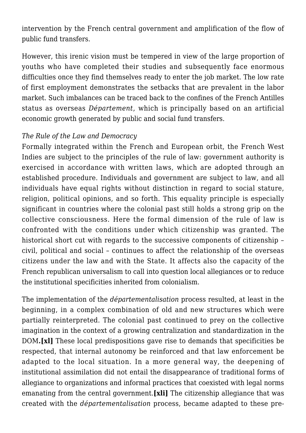intervention by the French central government and amplification of the flow of public fund transfers.

However, this irenic vision must be tempered in view of the large proportion of youths who have completed their studies and subsequently face enormous difficulties once they find themselves ready to enter the job market. The low rate of first employment demonstrates the setbacks that are prevalent in the labor market. Such imbalances can be traced back to the confines of the French Antilles status as overseas *Département*, which is principally based on an artificial economic growth generated by public and social fund transfers.

## *The Rule of the Law and Democracy*

Formally integrated within the French and European orbit, the French West Indies are subject to the principles of the rule of law: government authority is exercised in accordance with written laws, which are adopted through an established procedure. Individuals and government are subject to law, and all individuals have equal rights without distinction in regard to social stature, religion, political opinions, and so forth. This equality principle is especially significant in countries where the colonial past still holds a strong grip on the collective consciousness. Here the formal dimension of the rule of law is confronted with the conditions under which citizenship was granted. The historical short cut with regards to the successive components of citizenship – civil, political and social – continues to affect the relationship of the overseas citizens under the law and with the State. It affects also the capacity of the French republican universalism to call into question local allegiances or to reduce the institutional specificities inherited from colonialism.

The implementation of the *départementalisation* process resulted, at least in the beginning, in a complex combination of old and new structures which were partially reinterpreted. The colonial past continued to prey on the collective imagination in the context of a growing centralization and standardization in the DOM**.[xl]** These local predispositions gave rise to demands that specificities be respected, that internal autonomy be reinforced and that law enforcement be adapted to the local situation. In a more general way, the deepening of institutional assimilation did not entail the disappearance of traditional forms of allegiance to organizations and informal practices that coexisted with legal norms emanating from the central government.**[xli]** The citizenship allegiance that was created with the *départementalisation* process, became adapted to these pre-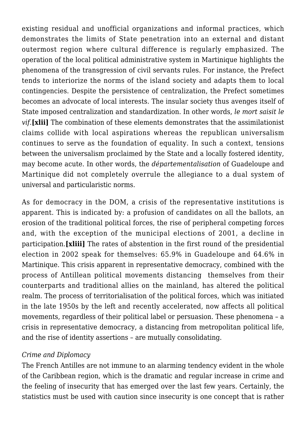existing residual and unofficial organizations and informal practices, which demonstrates the limits of State penetration into an external and distant outermost region where cultural difference is regularly emphasized. The operation of the local political administrative system in Martinique highlights the phenomena of the transgression of civil servants rules. For instance, the Prefect tends to interiorize the norms of the island society and adapts them to local contingencies. Despite the persistence of centralization, the Prefect sometimes becomes an advocate of local interests. The insular society thus avenges itself of State imposed centralization and standardization. In other words, *le mort saisit le vif.***[xlii]** The combination of these elements demonstrates that the assimilationist claims collide with local aspirations whereas the republican universalism continues to serve as the foundation of equality. In such a context, tensions between the universalism proclaimed by the State and a locally fostered identity, may become acute. In other words, the *départementalisation* of Guadeloupe and Martinique did not completely overrule the allegiance to a dual system of universal and particularistic norms.

As for democracy in the DOM, a crisis of the representative institutions is apparent. This is indicated by: a profusion of candidates on all the ballots, an erosion of the traditional political forces, the rise of peripheral competing forces and, with the exception of the municipal elections of 2001, a decline in participation.**[xliii]** The rates of abstention in the first round of the presidential election in 2002 speak for themselves: 65.9% in Guadeloupe and 64.6% in Martinique. This crisis apparent in representative democracy, combined with the process of Antillean political movements distancing themselves from their counterparts and traditional allies on the mainland, has altered the political realm. The process of territorialisation of the political forces, which was initiated in the late 1950s by the left and recently accelerated, now affects all political movements, regardless of their political label or persuasion. These phenomena – a crisis in representative democracy, a distancing from metropolitan political life, and the rise of identity assertions – are mutually consolidating.

#### *Crime and Diplomacy*

The French Antilles are not immune to an alarming tendency evident in the whole of the Caribbean region, which is the dramatic and regular increase in crime and the feeling of insecurity that has emerged over the last few years. Certainly, the statistics must be used with caution since insecurity is one concept that is rather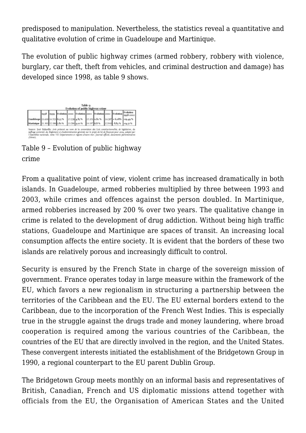predisposed to manipulation. Nevertheless, the statistics reveal a quantitative and qualitative evolution of crime in Guadeloupe and Martinique.

The evolution of public highway crimes (armed robbery, robbery with violence, burglary, car theft, theft from vehicles, and criminal destruction and damage) has developed since 1998, as table 9 shows.



Table 9 – Evolution of public highway crime

From a qualitative point of view, violent crime has increased dramatically in both islands. In Guadeloupe, armed robberies multiplied by three between 1993 and 2003, while crimes and offences against the person doubled. In Martinique, armed robberies increased by 200 % over two years. The qualitative change in crime is related to the development of drug addiction. Without being high traffic stations, Guadeloupe and Martinique are spaces of transit. An increasing local consumption affects the entire society. It is evident that the borders of these two islands are relatively porous and increasingly difficult to control.

Security is ensured by the French State in charge of the sovereign mission of government. France operates today in large measure within the framework of the EU, which favors a new regionalism in structuring a partnership between the territories of the Caribbean and the EU. The EU external borders extend to the Caribbean, due to the incorporation of the French West Indies. This is especially true in the struggle against the drugs trade and money laundering, where broad cooperation is required among the various countries of the Caribbean, the countries of the EU that are directly involved in the region, and the United States. These convergent interests initiated the establishment of the Bridgetown Group in 1990, a regional counterpart to the EU parent Dublin Group.

The Bridgetown Group meets monthly on an informal basis and representatives of British, Canadian, French and US diplomatic missions attend together with officials from the EU, the Organisation of American States and the United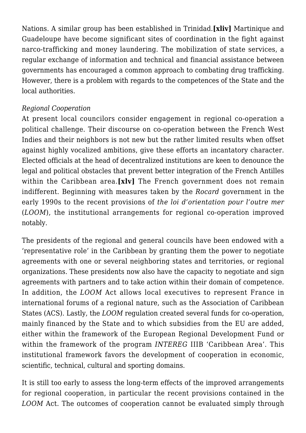Nations. A similar group has been established in Trinidad.**[xliv]** Martinique and Guadeloupe have become significant sites of coordination in the fight against narco-trafficking and money laundering. The mobilization of state services, a regular exchange of information and technical and financial assistance between governments has encouraged a common approach to combating drug trafficking. However, there is a problem with regards to the competences of the State and the local authorities.

#### *Regional Cooperation*

At present local councilors consider engagement in regional co-operation a political challenge. Their discourse on co-operation between the French West Indies and their neighbors is not new but the rather limited results when offset against highly vocalized ambitions, give these efforts an incantatory character. Elected officials at the head of decentralized institutions are keen to denounce the legal and political obstacles that prevent better integration of the French Antilles within the Caribbean area.**[xlv]** The French government does not remain indifferent. Beginning with measures taken by the *Rocard* government in the early 1990s to the recent provisions of *the loi d'orientation pour l'outre mer* (*LOOM*), the institutional arrangements for regional co-operation improved notably.

The presidents of the regional and general councils have been endowed with a 'representative role' in the Caribbean by granting them the power to negotiate agreements with one or several neighboring states and territories, or regional organizations. These presidents now also have the capacity to negotiate and sign agreements with partners and to take action within their domain of competence. In addition, the *LOOM* Act allows local executives to represent France in international forums of a regional nature, such as the Association of Caribbean States (ACS). Lastly, the *LOOM* regulation created several funds for co-operation, mainly financed by the State and to which subsidies from the EU are added, either within the framework of the European Regional Development Fund or within the framework of the program *INTEREG* IIIB 'Caribbean Area'. This institutional framework favors the development of cooperation in economic, scientific, technical, cultural and sporting domains.

It is still too early to assess the long-term effects of the improved arrangements for regional cooperation, in particular the recent provisions contained in the *LOOM* Act. The outcomes of cooperation cannot be evaluated simply through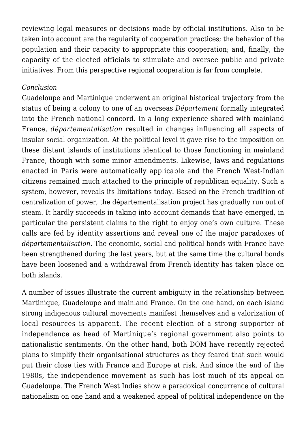reviewing legal measures or decisions made by official institutions. Also to be taken into account are the regularity of cooperation practices; the behavior of the population and their capacity to appropriate this cooperation; and, finally, the capacity of the elected officials to stimulate and oversee public and private initiatives. From this perspective regional cooperation is far from complete.

#### *Conclusion*

Guadeloupe and Martinique underwent an original historical trajectory from the status of being a colony to one of an overseas *Département* formally integrated into the French national concord. In a long experience shared with mainland France, *départementalisation* resulted in changes influencing all aspects of insular social organization. At the political level it gave rise to the imposition on these distant islands of institutions identical to those functioning in mainland France, though with some minor amendments. Likewise, laws and regulations enacted in Paris were automatically applicable and the French West-Indian citizens remained much attached to the principle of republican equality. Such a system, however, reveals its limitations today. Based on the French tradition of centralization of power, the départementalisation project has gradually run out of steam. It hardly succeeds in taking into account demands that have emerged, in particular the persistent claims to the right to enjoy one's own culture. These calls are fed by identity assertions and reveal one of the major paradoxes of *départementalisation*. The economic, social and political bonds with France have been strengthened during the last years, but at the same time the cultural bonds have been loosened and a withdrawal from French identity has taken place on both islands.

A number of issues illustrate the current ambiguity in the relationship between Martinique, Guadeloupe and mainland France. On the one hand, on each island strong indigenous cultural movements manifest themselves and a valorization of local resources is apparent. The recent election of a strong supporter of independence as head of Martinique's regional government also points to nationalistic sentiments. On the other hand, both DOM have recently rejected plans to simplify their organisational structures as they feared that such would put their close ties with France and Europe at risk. And since the end of the 1980s, the independence movement as such has lost much of its appeal on Guadeloupe. The French West Indies show a paradoxical concurrence of cultural nationalism on one hand and a weakened appeal of political independence on the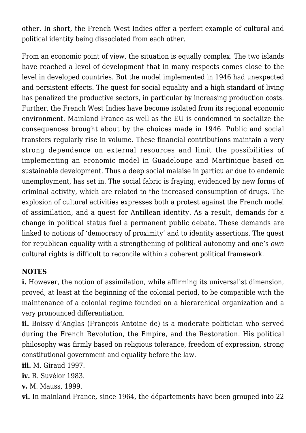other. In short, the French West Indies offer a perfect example of cultural and political identity being dissociated from each other.

From an economic point of view, the situation is equally complex. The two islands have reached a level of development that in many respects comes close to the level in developed countries. But the model implemented in 1946 had unexpected and persistent effects. The quest for social equality and a high standard of living has penalized the productive sectors, in particular by increasing production costs. Further, the French West Indies have become isolated from its regional economic environment. Mainland France as well as the EU is condemned to socialize the consequences brought about by the choices made in 1946. Public and social transfers regularly rise in volume. These financial contributions maintain a very strong dependence on external resources and limit the possibilities of implementing an economic model in Guadeloupe and Martinique based on sustainable development. Thus a deep social malaise in particular due to endemic unemployment, has set in. The social fabric is fraying, evidenced by new forms of criminal activity, which are related to the increased consumption of drugs. The explosion of cultural activities expresses both a protest against the French model of assimilation, and a quest for Antillean identity. As a result, demands for a change in political status fuel a permanent public debate. These demands are linked to notions of 'democracy of proximity' and to identity assertions. The quest for republican equality with a strengthening of political autonomy and one's *own* cultural rights is difficult to reconcile within a coherent political framework.

# **NOTES**

**i.** However, the notion of assimilation, while affirming its universalist dimension, proved, at least at the beginning of the colonial period, to be compatible with the maintenance of a colonial regime founded on a hierarchical organization and a very pronounced differentiation.

**ii.** Boissy d'Anglas (François Antoine de) is a moderate politician who served during the French Revolution, the Empire, and the Restoration. His political philosophy was firmly based on religious tolerance, freedom of expression, strong constitutional government and equality before the law.

**iii.** M. Giraud 1997.

**iv.** R. Suvélor 1983.

**v.** M. Mauss, 1999.

**vi.** In mainland France, since 1964, the départements have been grouped into 22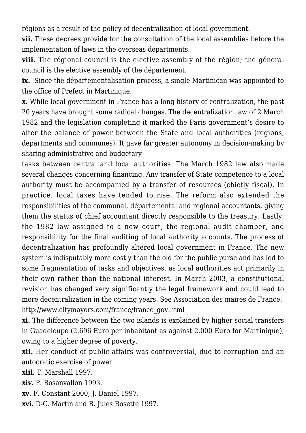régions as a result of the policy of decentralization of local government.

**vii.** These decrees provide for the consultation of the local assemblies before the implementation of laws in the overseas departments.

**viii.** The régional council is the elective assembly of the région; the géneral council is the elective assembly of the département.

**ix.** Since the départementalisation process, a single Martinican was appointed to the office of Prefect in Martinique.

**x.** While local government in France has a long history of centralization, the past 20 years have brought some radical changes. The decentralization law of 2 March 1982 and the legislation completing it marked the Paris government's desire to alter the balance of power between the State and local authorities (regions, departments and communes). It gave far greater autonomy in decision-making by sharing administrative and budgetary

tasks between central and local authorities. The March 1982 law also made several changes concerning financing. Any transfer of State competence to a local authority must be accompanied by a transfer of resources (chiefly fiscal). In practice, local taxes have tended to rise. The reform also extended the responsibilities of the communal, départemental and regional accountants, giving them the status of chief accountant directly responsible to the treasury. Lastly, the 1982 law assigned to a new court, the regional audit chamber, and responsibility for the final auditing of local authority accounts. The process of decentralization has profoundly altered local government in France. The new system is indisputably more costly than the old for the public purse and has led to some fragmentation of tasks and objectives, as local authorities act primarily in their own rather than the national interest. In March 2003, a constitutional revision has changed very significantly the legal framework and could lead to more decentralization in the coming years. See Association des maires de France: http://www.citymayors.com/france/france\_gov.html

**xi.** The difference between the two islands is explained by higher social transfers in Guadeloupe (2,696 Euro per inhabitant as against 2,000 Euro for Martinique), owing to a higher degree of poverty.

**xii.** Her conduct of public affairs was controversial, due to corruption and an autocratic exercise of power.

**xiii.** T. Marshall 1997.

**xiv.** P. Rosanvallon 1993.

**xv.** F. Constant 2000; J. Daniel 1997.

**xvi.** D-C. Martin and B. Jules Rosette 1997.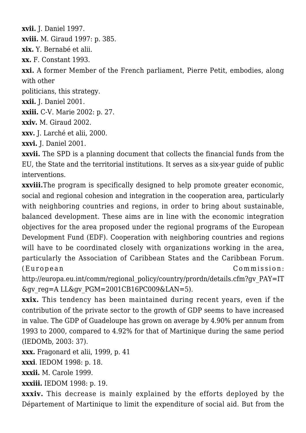**xvii.** J. Daniel 1997.

**xviii.** M. Giraud 1997: p. 385.

**xix.** Y. Bernabé et alii.

**xx.** F. Constant 1993.

**xxi.** A former Member of the French parliament, Pierre Petit, embodies, along with other

politicians, this strategy.

**xxii.** J. Daniel 2001.

**xxiii.** C-V. Marie 2002: p. 27.

**xxiv.** M. Giraud 2002.

**xxv.** J. Larché et alii, 2000.

**xxvi.** J. Daniel 2001.

**xxvii.** The SPD is a planning document that collects the financial funds from the EU, the State and the territorial institutions. It serves as a six-year guide of public interventions.

**xxviii.**The program is specifically designed to help promote greater economic, social and regional cohesion and integration in the cooperation area, particularly with neighboring countries and regions, in order to bring about sustainable, balanced development. These aims are in line with the economic integration objectives for the area proposed under the regional programs of the European Development Fund (EDF). Cooperation with neighboring countries and regions will have to be coordinated closely with organizations working in the area, particularly the Association of Caribbean States and the Caribbean Forum. (European Commission:

http://europa.eu.int/comm/regional\_policy/country/prordn/details.cfm?gv\_PAY=IT &gv\_reg=A LL&gv\_PGM=2001CB16PC009&LAN=5).

**xxix.** This tendency has been maintained during recent years, even if the contribution of the private sector to the growth of GDP seems to have increased in value. The GDP of Guadeloupe has grown on average by 4.90% per annum from 1993 to 2000, compared to 4.92% for that of Martinique during the same period (IEDOMb, 2003: 37).

**xxx.** Fragonard et alii, 1999, p. 41

**xxxi**. IEDOM 1998: p. 18.

**xxxii.** M. Carole 1999.

**xxxiii.** IEDOM 1998: p. 19.

**xxxiv.** This decrease is mainly explained by the efforts deployed by the Département of Martinique to limit the expenditure of social aid. But from the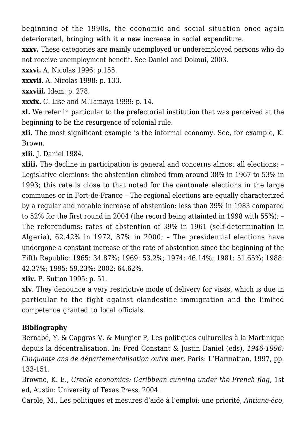beginning of the 1990s, the economic and social situation once again deteriorated, bringing with it a new increase in social expenditure.

**xxxv.** These categories are mainly unemployed or underemployed persons who do not receive unemployment benefit. See Daniel and Dokoui, 2003.

**xxxvi.** A. Nicolas 1996: p.155.

**xxxvii.** A. Nicolas 1998: p. 133.

**xxxviii.** Idem: p. 278.

**xxxix.** C. Lise and M.Tamaya 1999: p. 14.

**xl.** We refer in particular to the prefectorial institution that was perceived at the beginning to be the resurgence of colonial rule.

**xli.** The most significant example is the informal economy. See, for example, K. Brown.

**xlii.** J. Daniel 1984.

**xliii.** The decline in participation is general and concerns almost all elections: – Legislative elections: the abstention climbed from around 38% in 1967 to 53% in 1993; this rate is close to that noted for the cantonale elections in the large communes or in Fort-de-France – The regional elections are equally characterized by a regular and notable increase of abstention: less than 39% in 1983 compared to 52% for the first round in 2004 (the record being attainted in 1998 with 55%); – The referendums: rates of abstention of 39% in 1961 (self-determination in Algeria), 62.42% in 1972, 87% in 2000; – The presidential elections have undergone a constant increase of the rate of abstention since the beginning of the Fifth Republic: 1965: 34.87%; 1969: 53.2%; 1974: 46.14%; 1981: 51.65%; 1988: 42.37%; 1995: 59.23%; 2002: 64.62%.

**xliv.** P. Sutton 1995: p. 51.

**xlv**. They denounce a very restrictive mode of delivery for visas, which is due in particular to the fight against clandestine immigration and the limited competence granted to local officials.

#### **Bibliography**

Bernabé, Y. & Capgras V. & Murgier P, Les politiques culturelles à la Martinique depuis la décentralisation. In: Fred Constant & Justin Daniel (eds), *1946-1996: Cinquante ans de départementalisation outre mer,* Paris: L'Harmattan, 1997, pp. 133-151.

Browne, K. E., *Creole economics: Caribbean cunning under the French flag*, 1st ed, Austin: University of Texas Press, 2004.

Carole, M., Les politiques et mesures d'aide à l'emploi: une priorité, *Antiane-éco,*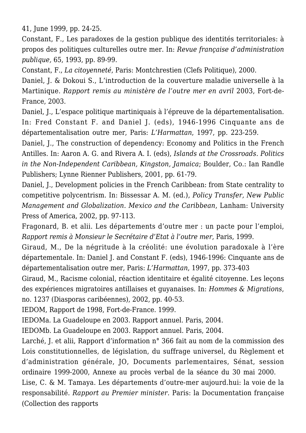41, June 1999, pp. 24-25.

Constant, F., Les paradoxes de la gestion publique des identités territoriales: à propos des politiques culturelles outre mer. In: *Revue française d'administration publique,* 65, 1993, pp. 89-99.

Constant, F., *La citoyenneté*, Paris: Montchrestien (Clefs Politique), 2000.

Daniel, J. & Dokoui S., L'introduction de la couverture maladie universelle à la Martinique. *Rapport remis au ministère de l'outre mer en avril* 2003, Fort-de-France, 2003.

Daniel, J., L'espace politique martiniquais à l'épreuve de la départementalisation. In: Fred Constant F. and Daniel J. (eds), 1946-1996 Cinquante ans de départementalisation outre mer, Paris: *L'Harmattan*, 1997, pp. 223-259.

Daniel, J., The construction of dependency: Economy and Politics in the French Antilles. In: Aaron A. G. and Rivera A. I. (eds), *Islands at the Crossroads. Politics in the Non-Independent Caribbean, Kingston, Jamaica*; Boulder, Co.: Ian Randle Publishers; Lynne Rienner Publishers, 2001, pp. 61-79.

Daniel, J., Development policies in the French Caribbean: from State centrality to competitive polycentrism. In: Bissessar A. M. (ed.), *Policy Transfer, New Public Management and Globalization. Mexico and the Caribbean*, Lanham: University Press of America, 2002, pp. 97-113.

Fragonard, B. et alii. Les départements d'outre mer : un pacte pour l'emploi, *Rapport remis à Monsieur le Secrétaire d'Etat à l'outre mer*, Paris, 1999.

Giraud, M., De la négritude à la créolité: une évolution paradoxale à l'ère départementale. In: Daniel J. and Constant F. (eds), 1946-1996: Cinquante ans de départementalisation outre mer, Paris: *L'Harmattan*, 1997, pp. 373-403

Giraud, M., Racisme colonial, réaction identitaire et égalité citoyenne. Les leçons des expériences migratoires antillaises et guyanaises. In: *Hommes & Migrations*, no. 1237 (Diasporas caribéennes), 2002, pp. 40-53.

IEDOM, Rapport de 1998, Fort-de-France. 1999.

IEDOMa. La Guadeloupe en 2003. Rapport annuel. Paris, 2004.

IEDOMb. La Guadeloupe en 2003. Rapport annuel. Paris, 2004.

Larché, J. et alii, Rapport d'information n° 366 fait au nom de la commission des Lois constitutionnelles, de législation, du suffrage universel, du Règlement et d'administration générale, JO, Documents parlementaires, Sénat, session ordinaire 1999-2000, Annexe au procès verbal de la séance du 30 mai 2000.

Lise, C. & M. Tamaya. Les départements d'outre-mer aujourd.hui: la voie de la responsabilité. *Rapport au Premier minister*. Paris: la Documentation française (Collection des rapports